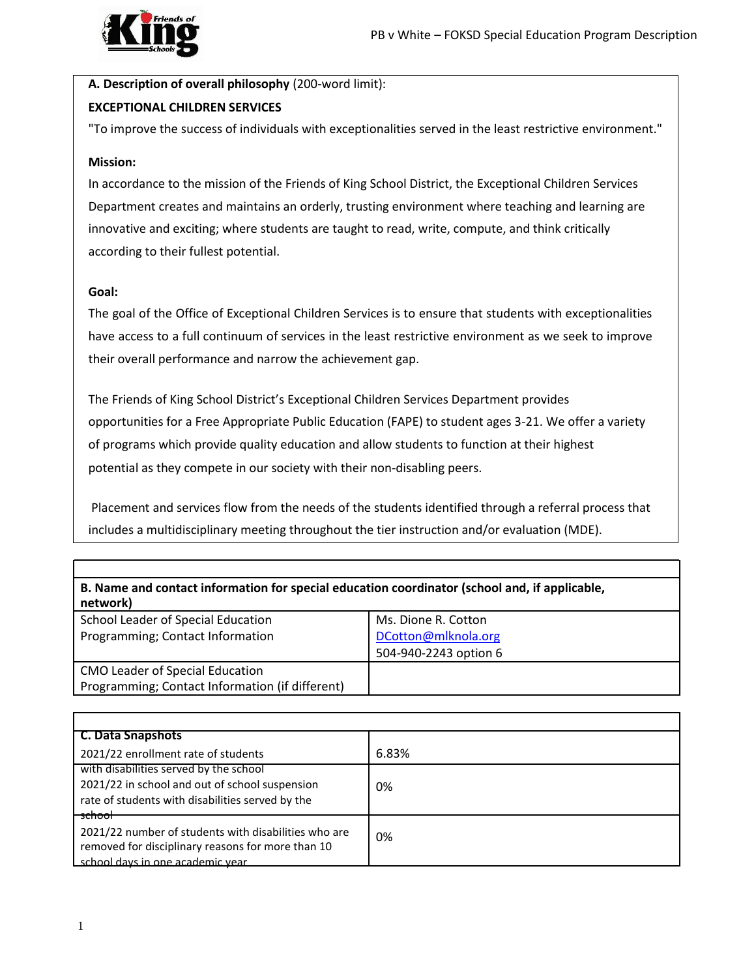

## **A. Description of overall philosophy** (200-word limit): **EXCEPTIONAL CHILDREN SERVICES**

"To improve the success of individuals with exceptionalities served in the least restrictive environment."

## **Mission:**

In accordance to the mission of the Friends of King School District, the Exceptional Children Services Department creates and maintains an orderly, trusting environment where teaching and learning are innovative and exciting; where students are taught to read, write, compute, and think critically according to their fullest potential.

## **Goal:**

The goal of the Office of Exceptional Children Services is to ensure that students with exceptionalities have access to a full continuum of services in the least restrictive environment as we seek to improve their overall performance and narrow the achievement gap.

The Friends of King School District's Exceptional Children Services Department provides opportunities for a Free Appropriate Public Education (FAPE) to student ages 3-21. We offer a variety of programs which provide quality education and allow students to function at their highest potential as they compete in our society with their non-disabling peers.

Placement and services flow from the needs of the students identified through a referral process that includes a multidisciplinary meeting throughout the tier instruction and/or evaluation (MDE).

| B. Name and contact information for special education coordinator (school and, if applicable,<br>network) |                                                                     |  |
|-----------------------------------------------------------------------------------------------------------|---------------------------------------------------------------------|--|
| School Leader of Special Education<br>Programming; Contact Information                                    | Ms. Dione R. Cotton<br>DCotton@mlknola.org<br>504-940-2243 option 6 |  |
| <b>CMO Leader of Special Education</b><br>Programming; Contact Information (if different)                 |                                                                     |  |

| C. Data Snapshots                                    |       |
|------------------------------------------------------|-------|
| 2021/22 enrollment rate of students                  | 6.83% |
| with disabilities served by the school               |       |
| 2021/22 in school and out of school suspension       | 0%    |
| rate of students with disabilities served by the     |       |
| <del>school</del>                                    |       |
| 2021/22 number of students with disabilities who are | 0%    |
| removed for disciplinary reasons for more than 10    |       |
| school days in one academic year                     |       |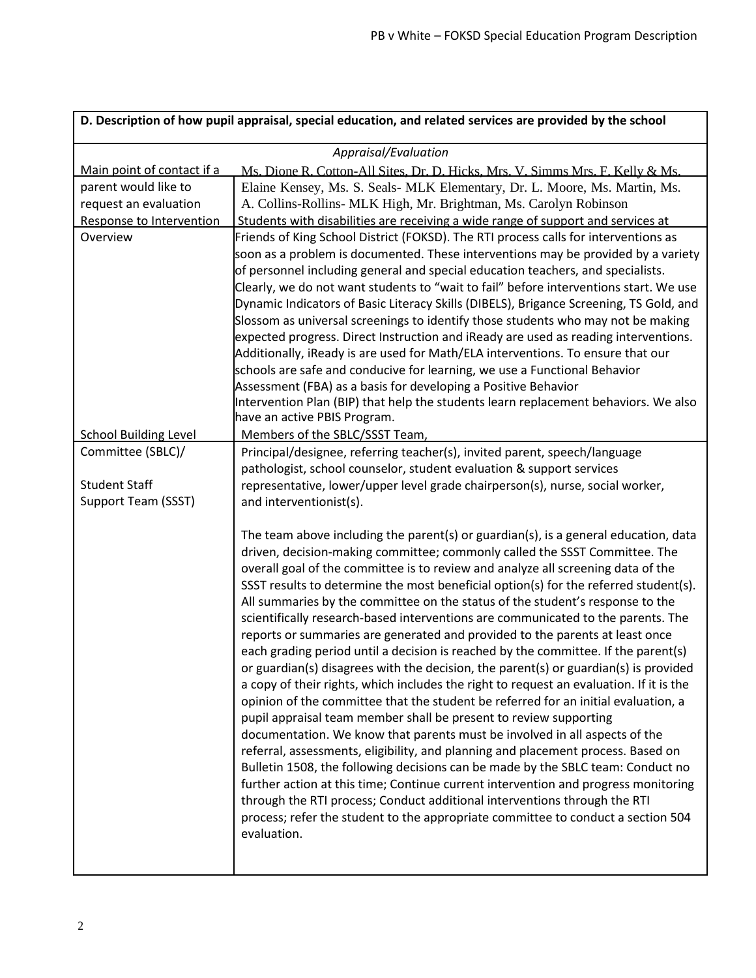|                                                                  | D. Description of how pupil appraisal, special education, and related services are provided by the school                                                                                                                                                                                                                                                                                                                                                                                                                                                                                                                                                                                                                                                                                                                                                                                                                                                                                                                                                                                                                                                                                                                                                                                                                                                                                                                                                                                                                                                         |  |  |
|------------------------------------------------------------------|-------------------------------------------------------------------------------------------------------------------------------------------------------------------------------------------------------------------------------------------------------------------------------------------------------------------------------------------------------------------------------------------------------------------------------------------------------------------------------------------------------------------------------------------------------------------------------------------------------------------------------------------------------------------------------------------------------------------------------------------------------------------------------------------------------------------------------------------------------------------------------------------------------------------------------------------------------------------------------------------------------------------------------------------------------------------------------------------------------------------------------------------------------------------------------------------------------------------------------------------------------------------------------------------------------------------------------------------------------------------------------------------------------------------------------------------------------------------------------------------------------------------------------------------------------------------|--|--|
|                                                                  | Appraisal/Evaluation                                                                                                                                                                                                                                                                                                                                                                                                                                                                                                                                                                                                                                                                                                                                                                                                                                                                                                                                                                                                                                                                                                                                                                                                                                                                                                                                                                                                                                                                                                                                              |  |  |
| Main point of contact if a                                       | Ms. Dione R. Cotton-All Sites, Dr. D. Hicks, Mrs. V. Simms Mrs. F. Kelly & Ms.                                                                                                                                                                                                                                                                                                                                                                                                                                                                                                                                                                                                                                                                                                                                                                                                                                                                                                                                                                                                                                                                                                                                                                                                                                                                                                                                                                                                                                                                                    |  |  |
| parent would like to                                             | Elaine Kensey, Ms. S. Seals- MLK Elementary, Dr. L. Moore, Ms. Martin, Ms.                                                                                                                                                                                                                                                                                                                                                                                                                                                                                                                                                                                                                                                                                                                                                                                                                                                                                                                                                                                                                                                                                                                                                                                                                                                                                                                                                                                                                                                                                        |  |  |
| request an evaluation                                            | A. Collins-Rollins- MLK High, Mr. Brightman, Ms. Carolyn Robinson                                                                                                                                                                                                                                                                                                                                                                                                                                                                                                                                                                                                                                                                                                                                                                                                                                                                                                                                                                                                                                                                                                                                                                                                                                                                                                                                                                                                                                                                                                 |  |  |
| Response to Intervention                                         | Students with disabilities are receiving a wide range of support and services at                                                                                                                                                                                                                                                                                                                                                                                                                                                                                                                                                                                                                                                                                                                                                                                                                                                                                                                                                                                                                                                                                                                                                                                                                                                                                                                                                                                                                                                                                  |  |  |
| Overview                                                         | Friends of King School District (FOKSD). The RTI process calls for interventions as<br>soon as a problem is documented. These interventions may be provided by a variety<br>of personnel including general and special education teachers, and specialists.<br>Clearly, we do not want students to "wait to fail" before interventions start. We use<br>Dynamic Indicators of Basic Literacy Skills (DIBELS), Brigance Screening, TS Gold, and<br>Slossom as universal screenings to identify those students who may not be making<br>expected progress. Direct Instruction and iReady are used as reading interventions.<br>Additionally, iReady is are used for Math/ELA interventions. To ensure that our<br>schools are safe and conducive for learning, we use a Functional Behavior<br>Assessment (FBA) as a basis for developing a Positive Behavior<br>Intervention Plan (BIP) that help the students learn replacement behaviors. We also<br>have an active PBIS Program.                                                                                                                                                                                                                                                                                                                                                                                                                                                                                                                                                                                |  |  |
| <b>School Building Level</b>                                     | Members of the SBLC/SSST Team,                                                                                                                                                                                                                                                                                                                                                                                                                                                                                                                                                                                                                                                                                                                                                                                                                                                                                                                                                                                                                                                                                                                                                                                                                                                                                                                                                                                                                                                                                                                                    |  |  |
| Committee (SBLC)/<br><b>Student Staff</b><br>Support Team (SSST) | Principal/designee, referring teacher(s), invited parent, speech/language<br>pathologist, school counselor, student evaluation & support services<br>representative, lower/upper level grade chairperson(s), nurse, social worker,<br>and interventionist(s).                                                                                                                                                                                                                                                                                                                                                                                                                                                                                                                                                                                                                                                                                                                                                                                                                                                                                                                                                                                                                                                                                                                                                                                                                                                                                                     |  |  |
|                                                                  | The team above including the parent(s) or guardian(s), is a general education, data<br>driven, decision-making committee; commonly called the SSST Committee. The<br>overall goal of the committee is to review and analyze all screening data of the<br>SSST results to determine the most beneficial option(s) for the referred student(s).<br>All summaries by the committee on the status of the student's response to the<br>scientifically research-based interventions are communicated to the parents. The<br>reports or summaries are generated and provided to the parents at least once<br>each grading period until a decision is reached by the committee. If the parent(s)<br>or guardian(s) disagrees with the decision, the parent(s) or guardian(s) is provided<br>a copy of their rights, which includes the right to request an evaluation. If it is the<br>opinion of the committee that the student be referred for an initial evaluation, a<br>pupil appraisal team member shall be present to review supporting<br>documentation. We know that parents must be involved in all aspects of the<br>referral, assessments, eligibility, and planning and placement process. Based on<br>Bulletin 1508, the following decisions can be made by the SBLC team: Conduct no<br>further action at this time; Continue current intervention and progress monitoring<br>through the RTI process; Conduct additional interventions through the RTI<br>process; refer the student to the appropriate committee to conduct a section 504<br>evaluation. |  |  |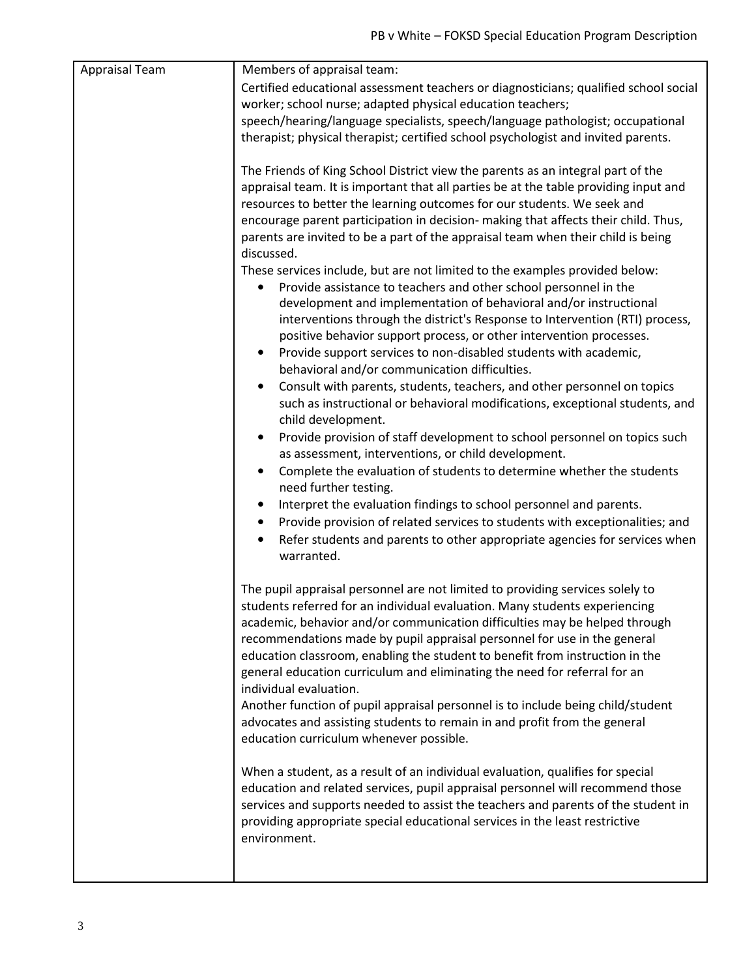| Appraisal Team | Members of appraisal team:                                                                                                                                                                                                                                                                                                                                                                                                                                                                                                                                                                                                                                                                                                                                                                                                                                                                                                                                                                                                                                                                                                                                                                                                                                                                                                                                                                                                                                                                                                                                                                                                                                         |
|----------------|--------------------------------------------------------------------------------------------------------------------------------------------------------------------------------------------------------------------------------------------------------------------------------------------------------------------------------------------------------------------------------------------------------------------------------------------------------------------------------------------------------------------------------------------------------------------------------------------------------------------------------------------------------------------------------------------------------------------------------------------------------------------------------------------------------------------------------------------------------------------------------------------------------------------------------------------------------------------------------------------------------------------------------------------------------------------------------------------------------------------------------------------------------------------------------------------------------------------------------------------------------------------------------------------------------------------------------------------------------------------------------------------------------------------------------------------------------------------------------------------------------------------------------------------------------------------------------------------------------------------------------------------------------------------|
|                | Certified educational assessment teachers or diagnosticians; qualified school social                                                                                                                                                                                                                                                                                                                                                                                                                                                                                                                                                                                                                                                                                                                                                                                                                                                                                                                                                                                                                                                                                                                                                                                                                                                                                                                                                                                                                                                                                                                                                                               |
|                | worker; school nurse; adapted physical education teachers;                                                                                                                                                                                                                                                                                                                                                                                                                                                                                                                                                                                                                                                                                                                                                                                                                                                                                                                                                                                                                                                                                                                                                                                                                                                                                                                                                                                                                                                                                                                                                                                                         |
|                | speech/hearing/language specialists, speech/language pathologist; occupational                                                                                                                                                                                                                                                                                                                                                                                                                                                                                                                                                                                                                                                                                                                                                                                                                                                                                                                                                                                                                                                                                                                                                                                                                                                                                                                                                                                                                                                                                                                                                                                     |
|                | therapist; physical therapist; certified school psychologist and invited parents.                                                                                                                                                                                                                                                                                                                                                                                                                                                                                                                                                                                                                                                                                                                                                                                                                                                                                                                                                                                                                                                                                                                                                                                                                                                                                                                                                                                                                                                                                                                                                                                  |
|                | The Friends of King School District view the parents as an integral part of the<br>appraisal team. It is important that all parties be at the table providing input and<br>resources to better the learning outcomes for our students. We seek and<br>encourage parent participation in decision- making that affects their child. Thus,<br>parents are invited to be a part of the appraisal team when their child is being<br>discussed.<br>These services include, but are not limited to the examples provided below:<br>Provide assistance to teachers and other school personnel in the<br>$\bullet$<br>development and implementation of behavioral and/or instructional<br>interventions through the district's Response to Intervention (RTI) process,<br>positive behavior support process, or other intervention processes.<br>Provide support services to non-disabled students with academic,<br>$\bullet$<br>behavioral and/or communication difficulties.<br>Consult with parents, students, teachers, and other personnel on topics<br>such as instructional or behavioral modifications, exceptional students, and<br>child development.<br>Provide provision of staff development to school personnel on topics such<br>$\bullet$<br>as assessment, interventions, or child development.<br>Complete the evaluation of students to determine whether the students<br>$\bullet$<br>need further testing.<br>Interpret the evaluation findings to school personnel and parents.<br>Provide provision of related services to students with exceptionalities; and<br>٠<br>Refer students and parents to other appropriate agencies for services when |
|                | warranted.                                                                                                                                                                                                                                                                                                                                                                                                                                                                                                                                                                                                                                                                                                                                                                                                                                                                                                                                                                                                                                                                                                                                                                                                                                                                                                                                                                                                                                                                                                                                                                                                                                                         |
|                | The pupil appraisal personnel are not limited to providing services solely to<br>students referred for an individual evaluation. Many students experiencing<br>academic, behavior and/or communication difficulties may be helped through<br>recommendations made by pupil appraisal personnel for use in the general<br>education classroom, enabling the student to benefit from instruction in the<br>general education curriculum and eliminating the need for referral for an<br>individual evaluation.<br>Another function of pupil appraisal personnel is to include being child/student<br>advocates and assisting students to remain in and profit from the general<br>education curriculum whenever possible.<br>When a student, as a result of an individual evaluation, qualifies for special<br>education and related services, pupil appraisal personnel will recommend those<br>services and supports needed to assist the teachers and parents of the student in<br>providing appropriate special educational services in the least restrictive<br>environment.                                                                                                                                                                                                                                                                                                                                                                                                                                                                                                                                                                                    |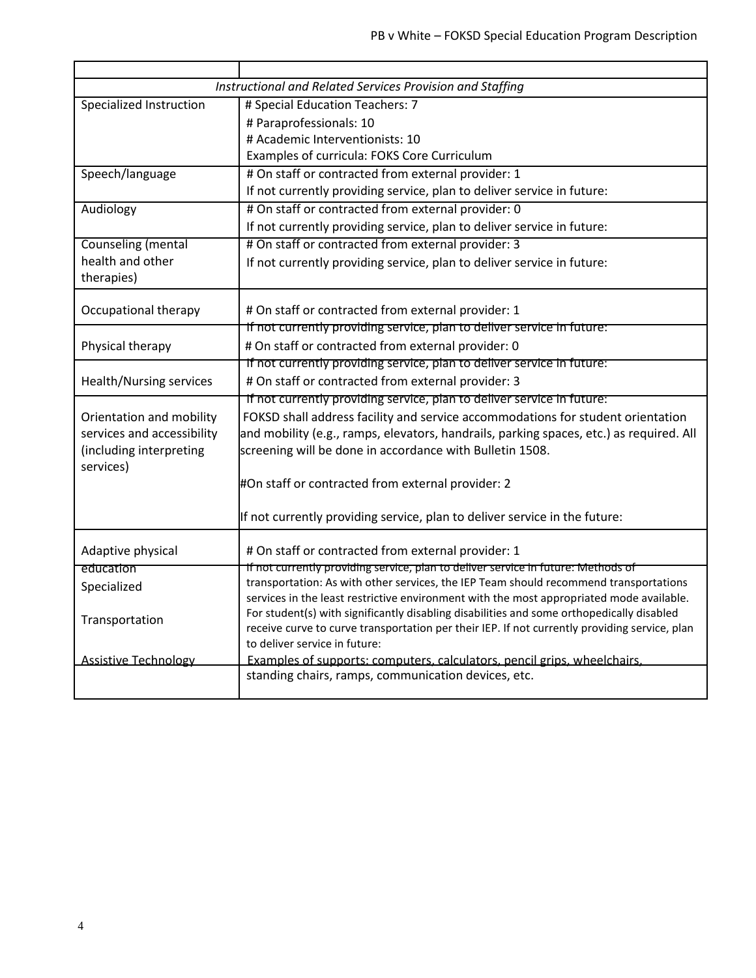|                             | Instructional and Related Services Provision and Staffing                                                                                                                             |
|-----------------------------|---------------------------------------------------------------------------------------------------------------------------------------------------------------------------------------|
| Specialized Instruction     | # Special Education Teachers: 7                                                                                                                                                       |
|                             | # Paraprofessionals: 10                                                                                                                                                               |
|                             | # Academic Interventionists: 10                                                                                                                                                       |
|                             | Examples of curricula: FOKS Core Curriculum                                                                                                                                           |
| Speech/language             | # On staff or contracted from external provider: 1                                                                                                                                    |
|                             | If not currently providing service, plan to deliver service in future:                                                                                                                |
| Audiology                   | # On staff or contracted from external provider: 0                                                                                                                                    |
|                             | If not currently providing service, plan to deliver service in future:                                                                                                                |
| <b>Counseling (mental</b>   | # On staff or contracted from external provider: 3                                                                                                                                    |
| health and other            | If not currently providing service, plan to deliver service in future:                                                                                                                |
| therapies)                  |                                                                                                                                                                                       |
|                             |                                                                                                                                                                                       |
| Occupational therapy        | # On staff or contracted from external provider: 1                                                                                                                                    |
|                             | If not currently providing service, plan to deliver service in future:                                                                                                                |
| Physical therapy            | # On staff or contracted from external provider: 0                                                                                                                                    |
|                             | If not currently providing service, plan to deliver service in future:                                                                                                                |
| Health/Nursing services     | # On staff or contracted from external provider: 3                                                                                                                                    |
|                             | If not currently providing service, plan to deliver service in future:                                                                                                                |
| Orientation and mobility    | FOKSD shall address facility and service accommodations for student orientation                                                                                                       |
| services and accessibility  | and mobility (e.g., ramps, elevators, handrails, parking spaces, etc.) as required. All                                                                                               |
| (including interpreting     | screening will be done in accordance with Bulletin 1508.                                                                                                                              |
| services)                   |                                                                                                                                                                                       |
|                             | #On staff or contracted from external provider: 2                                                                                                                                     |
|                             | If not currently providing service, plan to deliver service in the future:                                                                                                            |
| Adaptive physical           | # On staff or contracted from external provider: 1                                                                                                                                    |
| education                   | If not currently providing service, plan to deliver service in future: Methods of                                                                                                     |
| Specialized                 | transportation: As with other services, the IEP Team should recommend transportations                                                                                                 |
|                             | services in the least restrictive environment with the most appropriated mode available.<br>For student(s) with significantly disabling disabilities and some orthopedically disabled |
| Transportation              | receive curve to curve transportation per their IEP. If not currently providing service, plan                                                                                         |
|                             | to deliver service in future:                                                                                                                                                         |
| <b>Assistive Technology</b> | Examples of supports: computers, calculators, pencil grips, wheelchairs,                                                                                                              |
|                             | standing chairs, ramps, communication devices, etc.                                                                                                                                   |
|                             |                                                                                                                                                                                       |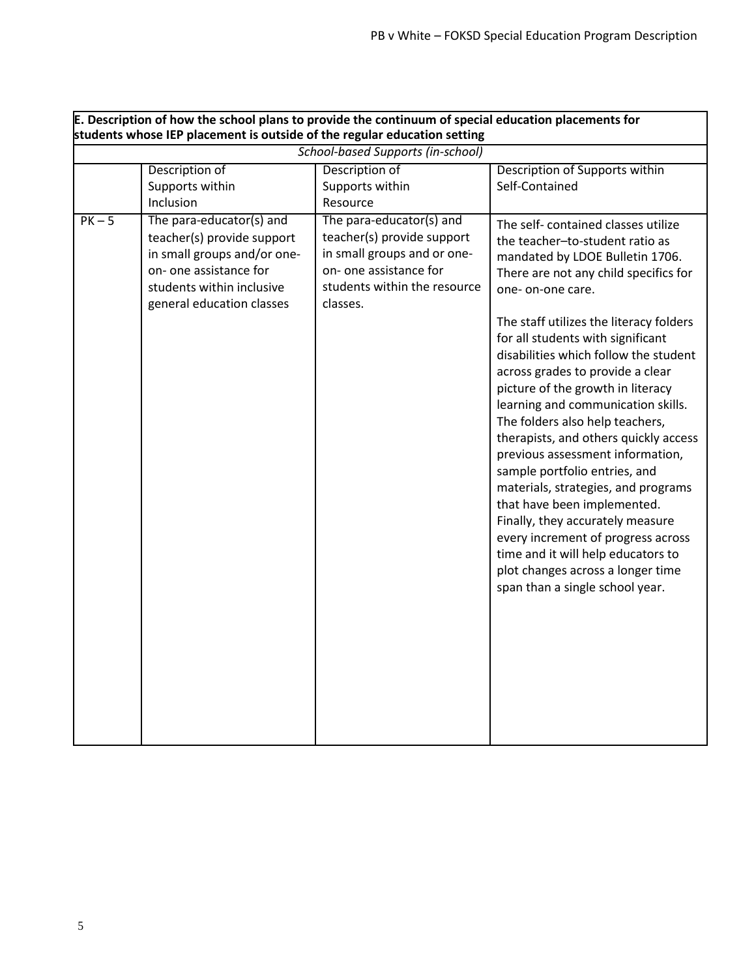|        | E. Description of how the school plans to provide the continuum of special education placements for<br>students whose IEP placement is outside of the regular education setting |                                                                                                                                                             |                                                                                                                                                                                                                                                                                                                                                                                                                                                                                                                                                                                                                                                                                                                                                                                                                               |
|--------|---------------------------------------------------------------------------------------------------------------------------------------------------------------------------------|-------------------------------------------------------------------------------------------------------------------------------------------------------------|-------------------------------------------------------------------------------------------------------------------------------------------------------------------------------------------------------------------------------------------------------------------------------------------------------------------------------------------------------------------------------------------------------------------------------------------------------------------------------------------------------------------------------------------------------------------------------------------------------------------------------------------------------------------------------------------------------------------------------------------------------------------------------------------------------------------------------|
|        |                                                                                                                                                                                 | <b>School-based Supports (in-school)</b>                                                                                                                    |                                                                                                                                                                                                                                                                                                                                                                                                                                                                                                                                                                                                                                                                                                                                                                                                                               |
|        | Description of<br>Supports within<br>Inclusion                                                                                                                                  | Description of<br>Supports within<br>Resource                                                                                                               | Description of Supports within<br>Self-Contained                                                                                                                                                                                                                                                                                                                                                                                                                                                                                                                                                                                                                                                                                                                                                                              |
| $PK-5$ | The para-educator(s) and<br>teacher(s) provide support<br>in small groups and/or one-<br>on- one assistance for<br>students within inclusive<br>general education classes       | The para-educator(s) and<br>teacher(s) provide support<br>in small groups and or one-<br>on- one assistance for<br>students within the resource<br>classes. | The self- contained classes utilize<br>the teacher-to-student ratio as<br>mandated by LDOE Bulletin 1706.<br>There are not any child specifics for<br>one-on-one care.<br>The staff utilizes the literacy folders<br>for all students with significant<br>disabilities which follow the student<br>across grades to provide a clear<br>picture of the growth in literacy<br>learning and communication skills.<br>The folders also help teachers,<br>therapists, and others quickly access<br>previous assessment information,<br>sample portfolio entries, and<br>materials, strategies, and programs<br>that have been implemented.<br>Finally, they accurately measure<br>every increment of progress across<br>time and it will help educators to<br>plot changes across a longer time<br>span than a single school year. |
|        |                                                                                                                                                                                 |                                                                                                                                                             |                                                                                                                                                                                                                                                                                                                                                                                                                                                                                                                                                                                                                                                                                                                                                                                                                               |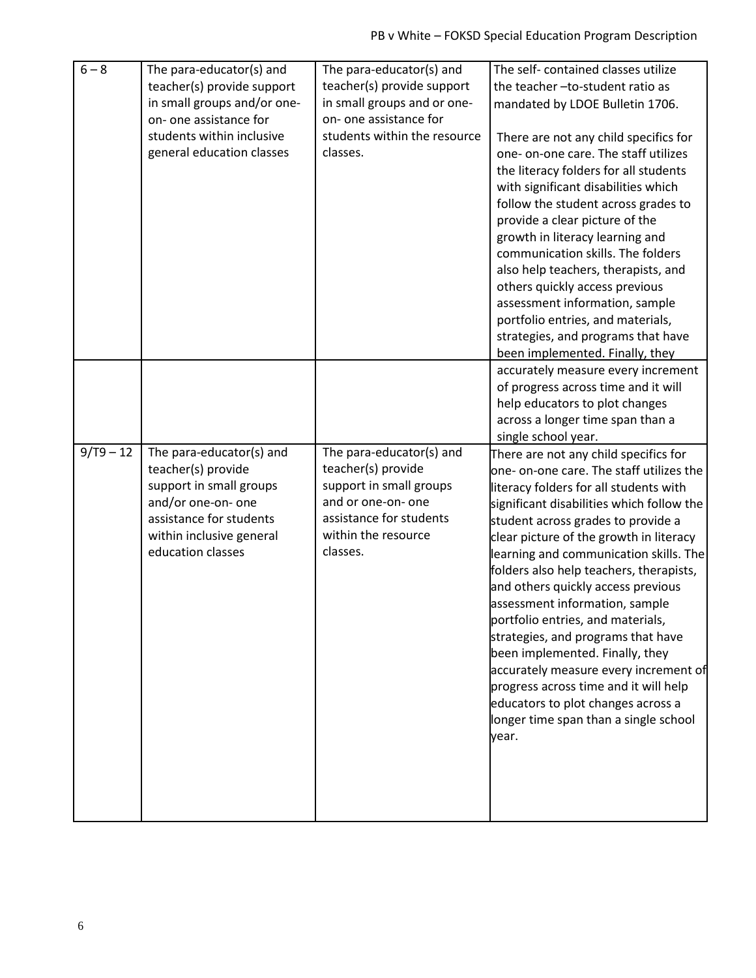| $6 - 8$     | The para-educator(s) and    | The para-educator(s) and     | The self-contained classes utilize                                        |
|-------------|-----------------------------|------------------------------|---------------------------------------------------------------------------|
|             | teacher(s) provide support  | teacher(s) provide support   | the teacher-to-student ratio as                                           |
|             | in small groups and/or one- | in small groups and or one-  | mandated by LDOE Bulletin 1706.                                           |
|             | on- one assistance for      | on- one assistance for       |                                                                           |
|             | students within inclusive   | students within the resource | There are not any child specifics for                                     |
|             | general education classes   | classes.                     | one- on-one care. The staff utilizes                                      |
|             |                             |                              | the literacy folders for all students                                     |
|             |                             |                              | with significant disabilities which                                       |
|             |                             |                              | follow the student across grades to                                       |
|             |                             |                              | provide a clear picture of the                                            |
|             |                             |                              | growth in literacy learning and                                           |
|             |                             |                              | communication skills. The folders                                         |
|             |                             |                              | also help teachers, therapists, and                                       |
|             |                             |                              | others quickly access previous                                            |
|             |                             |                              | assessment information, sample                                            |
|             |                             |                              | portfolio entries, and materials,                                         |
|             |                             |                              | strategies, and programs that have                                        |
|             |                             |                              | been implemented. Finally, they                                           |
|             |                             |                              | accurately measure every increment<br>of progress across time and it will |
|             |                             |                              | help educators to plot changes                                            |
|             |                             |                              | across a longer time span than a                                          |
|             |                             |                              | single school year.                                                       |
| $9/T9 - 12$ | The para-educator(s) and    | The para-educator(s) and     | There are not any child specifics for                                     |
|             | teacher(s) provide          | teacher(s) provide           | one- on-one care. The staff utilizes the                                  |
|             | support in small groups     | support in small groups      | literacy folders for all students with                                    |
|             | and/or one-on- one          | and or one-on- one           | significant disabilities which follow the                                 |
|             | assistance for students     | assistance for students      | student across grades to provide a                                        |
|             | within inclusive general    | within the resource          | clear picture of the growth in literacy                                   |
|             | education classes           | classes.                     | learning and communication skills. The                                    |
|             |                             |                              | folders also help teachers, therapists,                                   |
|             |                             |                              | and others quickly access previous                                        |
|             |                             |                              | assessment information, sample                                            |
|             |                             |                              | portfolio entries, and materials,                                         |
|             |                             |                              | strategies, and programs that have                                        |
|             |                             |                              | been implemented. Finally, they                                           |
|             |                             |                              | accurately measure every increment of                                     |
|             |                             |                              | progress across time and it will help                                     |
|             |                             |                              | educators to plot changes across a                                        |
|             |                             |                              |                                                                           |
|             |                             |                              | longer time span than a single school                                     |
|             |                             |                              | year.                                                                     |
|             |                             |                              |                                                                           |
|             |                             |                              |                                                                           |
|             |                             |                              |                                                                           |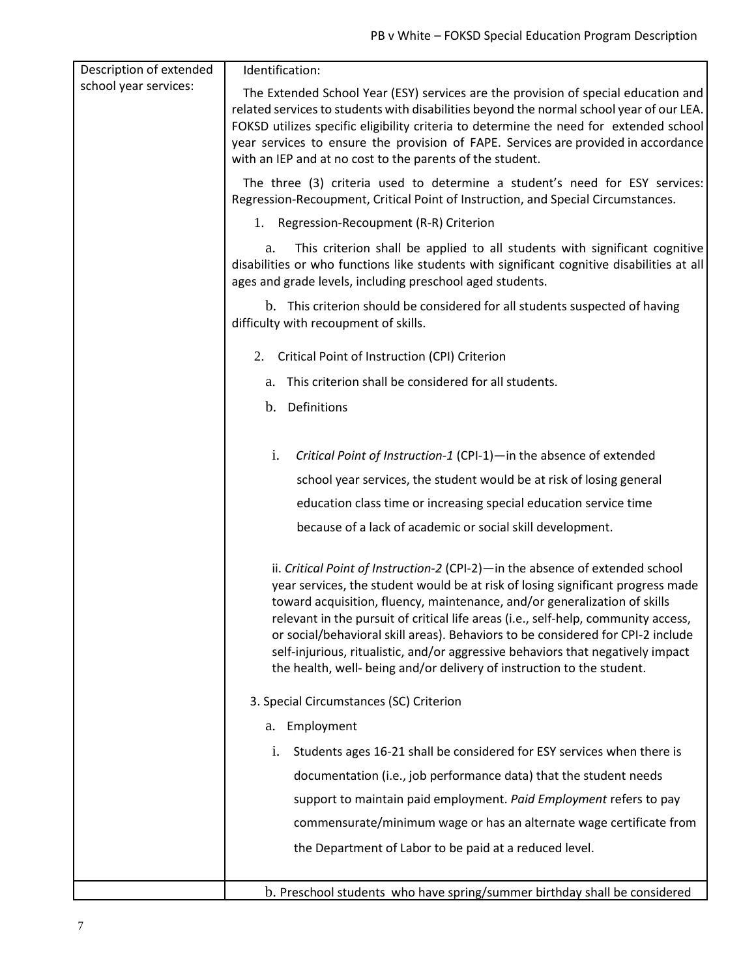| Description of extended | Identification:                                                                                                                                                                                                                                                                                                                                                                                                                                                                                                                                                                     |
|-------------------------|-------------------------------------------------------------------------------------------------------------------------------------------------------------------------------------------------------------------------------------------------------------------------------------------------------------------------------------------------------------------------------------------------------------------------------------------------------------------------------------------------------------------------------------------------------------------------------------|
| school year services:   | The Extended School Year (ESY) services are the provision of special education and<br>related services to students with disabilities beyond the normal school year of our LEA.<br>FOKSD utilizes specific eligibility criteria to determine the need for extended school<br>year services to ensure the provision of FAPE. Services are provided in accordance<br>with an IEP and at no cost to the parents of the student.                                                                                                                                                         |
|                         | The three (3) criteria used to determine a student's need for ESY services:<br>Regression-Recoupment, Critical Point of Instruction, and Special Circumstances.                                                                                                                                                                                                                                                                                                                                                                                                                     |
|                         | 1. Regression-Recoupment (R-R) Criterion                                                                                                                                                                                                                                                                                                                                                                                                                                                                                                                                            |
|                         | This criterion shall be applied to all students with significant cognitive<br>a.<br>disabilities or who functions like students with significant cognitive disabilities at all<br>ages and grade levels, including preschool aged students.                                                                                                                                                                                                                                                                                                                                         |
|                         | b. This criterion should be considered for all students suspected of having<br>difficulty with recoupment of skills.                                                                                                                                                                                                                                                                                                                                                                                                                                                                |
|                         | Critical Point of Instruction (CPI) Criterion<br>2.                                                                                                                                                                                                                                                                                                                                                                                                                                                                                                                                 |
|                         | a. This criterion shall be considered for all students.                                                                                                                                                                                                                                                                                                                                                                                                                                                                                                                             |
|                         | b. Definitions                                                                                                                                                                                                                                                                                                                                                                                                                                                                                                                                                                      |
|                         |                                                                                                                                                                                                                                                                                                                                                                                                                                                                                                                                                                                     |
|                         | i.<br>Critical Point of Instruction-1 (CPI-1)-in the absence of extended                                                                                                                                                                                                                                                                                                                                                                                                                                                                                                            |
|                         | school year services, the student would be at risk of losing general                                                                                                                                                                                                                                                                                                                                                                                                                                                                                                                |
|                         | education class time or increasing special education service time                                                                                                                                                                                                                                                                                                                                                                                                                                                                                                                   |
|                         | because of a lack of academic or social skill development.                                                                                                                                                                                                                                                                                                                                                                                                                                                                                                                          |
|                         | ii. Critical Point of Instruction-2 (CPI-2)-in the absence of extended school<br>year services, the student would be at risk of losing significant progress made<br>toward acquisition, fluency, maintenance, and/or generalization of skills<br>relevant in the pursuit of critical life areas (i.e., self-help, community access,<br>or social/behavioral skill areas). Behaviors to be considered for CPI-2 include<br>self-injurious, ritualistic, and/or aggressive behaviors that negatively impact<br>the health, well- being and/or delivery of instruction to the student. |
|                         | 3. Special Circumstances (SC) Criterion                                                                                                                                                                                                                                                                                                                                                                                                                                                                                                                                             |
|                         | a. Employment                                                                                                                                                                                                                                                                                                                                                                                                                                                                                                                                                                       |
|                         | Students ages 16-21 shall be considered for ESY services when there is<br>i.                                                                                                                                                                                                                                                                                                                                                                                                                                                                                                        |
|                         | documentation (i.e., job performance data) that the student needs                                                                                                                                                                                                                                                                                                                                                                                                                                                                                                                   |
|                         | support to maintain paid employment. Paid Employment refers to pay                                                                                                                                                                                                                                                                                                                                                                                                                                                                                                                  |
|                         | commensurate/minimum wage or has an alternate wage certificate from                                                                                                                                                                                                                                                                                                                                                                                                                                                                                                                 |
|                         | the Department of Labor to be paid at a reduced level.                                                                                                                                                                                                                                                                                                                                                                                                                                                                                                                              |
|                         | b. Preschool students who have spring/summer birthday shall be considered                                                                                                                                                                                                                                                                                                                                                                                                                                                                                                           |